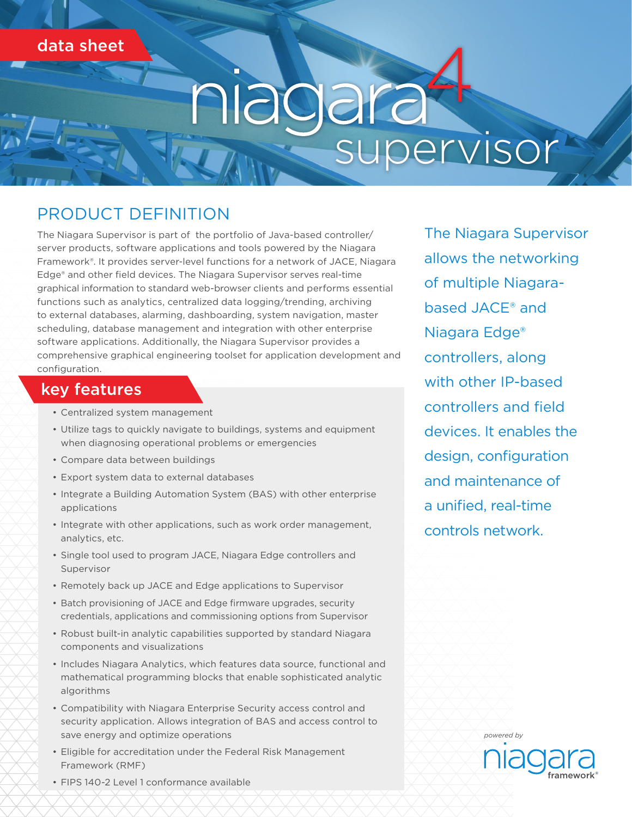data sheet

# niagarat<br>supervisor

# PRODUCT DEFINITION

The Niagara Supervisor is part of the portfolio of Java-based controller/ server products, software applications and tools powered by the Niagara Framework®. It provides server-level functions for a network of JACE, Niagara Edge® and other field devices. The Niagara Supervisor serves real-time graphical information to standard web-browser clients and performs essential functions such as analytics, centralized data logging/trending, archiving to external databases, alarming, dashboarding, system navigation, master scheduling, database management and integration with other enterprise software applications. Additionally, the Niagara Supervisor provides a comprehensive graphical engineering toolset for application development and configuration.

#### key features

- Centralized system management
- Utilize tags to quickly navigate to buildings, systems and equipment when diagnosing operational problems or emergencies
- Compare data between buildings
- Export system data to external databases
- Integrate a Building Automation System (BAS) with other enterprise applications
- Integrate with other applications, such as work order management, analytics, etc.
- Single tool used to program JACE, Niagara Edge controllers and Supervisor
- Remotely back up JACE and Edge applications to Supervisor
- Batch provisioning of JACE and Edge firmware upgrades, security credentials, applications and commissioning options from Supervisor
- Robust built-in analytic capabilities supported by standard Niagara components and visualizations
- Includes Niagara Analytics, which features data source, functional and mathematical programming blocks that enable sophisticated analytic algorithms
- Compatibility with Niagara Enterprise Security access control and security application. Allows integration of BAS and access control to save energy and optimize operations
- Eligible for accreditation under the Federal Risk Management Framework (RMF)

The Niagara Supervisor allows the networking of multiple Niagarabased JACE® and Niagara Edge® controllers, along with other IP-based controllers and field devices. It enables the design, configuration and maintenance of a unified, real-time controls network.

> framework® *powered by*

• FIPS 140-2 Level 1 conformance available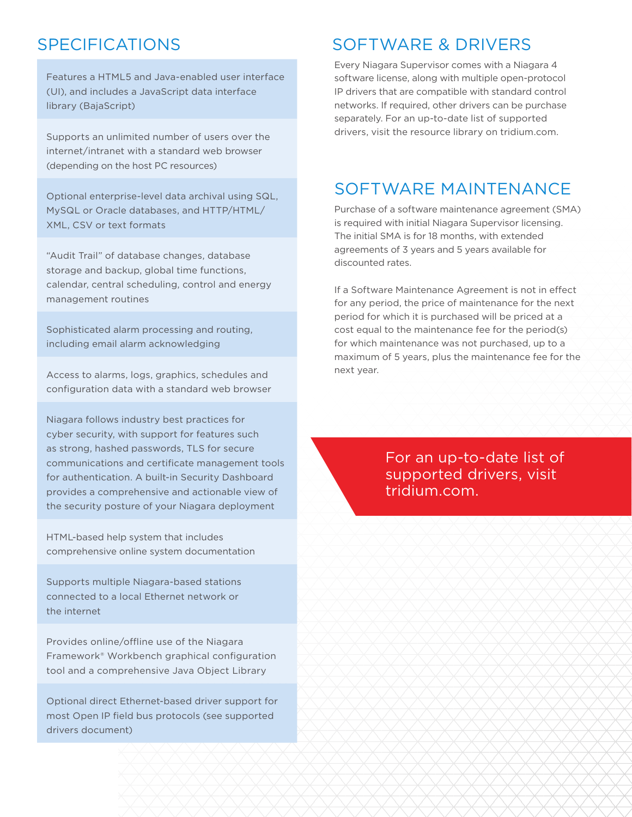#### SPECIFICATIONS

Features a HTML5 and Java-enabled user interface (UI), and includes a JavaScript data interface library (BajaScript)

Supports an unlimited number of users over the internet/intranet with a standard web browser (depending on the host PC resources)

Optional enterprise-level data archival using SQL, MySQL or Oracle databases, and HTTP/HTML/ XML, CSV or text formats

"Audit Trail" of database changes, database storage and backup, global time functions, calendar, central scheduling, control and energy management routines

Sophisticated alarm processing and routing, including email alarm acknowledging

Access to alarms, logs, graphics, schedules and configuration data with a standard web browser

Niagara follows industry best practices for cyber security, with support for features such as strong, hashed passwords, TLS for secure communications and certificate management tools for authentication. A built-in Security Dashboard provides a comprehensive and actionable view of the security posture of your Niagara deployment

HTML-based help system that includes comprehensive online system documentation

Supports multiple Niagara-based stations connected to a local Ethernet network or the internet

Provides online/offline use of the Niagara Framework® Workbench graphical configuration tool and a comprehensive Java Object Library

Optional direct Ethernet-based driver support for most Open IP field bus protocols (see supported drivers document)

#### SOFTWARE & DRIVERS

Every Niagara Supervisor comes with a Niagara 4 software license, along with multiple open-protocol IP drivers that are compatible with standard control networks. If required, other drivers can be purchase separately. For an up-to-date list of supported drivers, visit the resource library on tridium.com.

### SOFTWARE MAINTENANCE

Purchase of a software maintenance agreement (SMA) is required with initial Niagara Supervisor licensing. The initial SMA is for 18 months, with extended agreements of 3 years and 5 years available for discounted rates.

If a Software Maintenance Agreement is not in effect for any period, the price of maintenance for the next period for which it is purchased will be priced at a cost equal to the maintenance fee for the period(s) for which maintenance was not purchased, up to a maximum of 5 years, plus the maintenance fee for the next year.

> For an up-to-date list of supported drivers, visit tridium.com.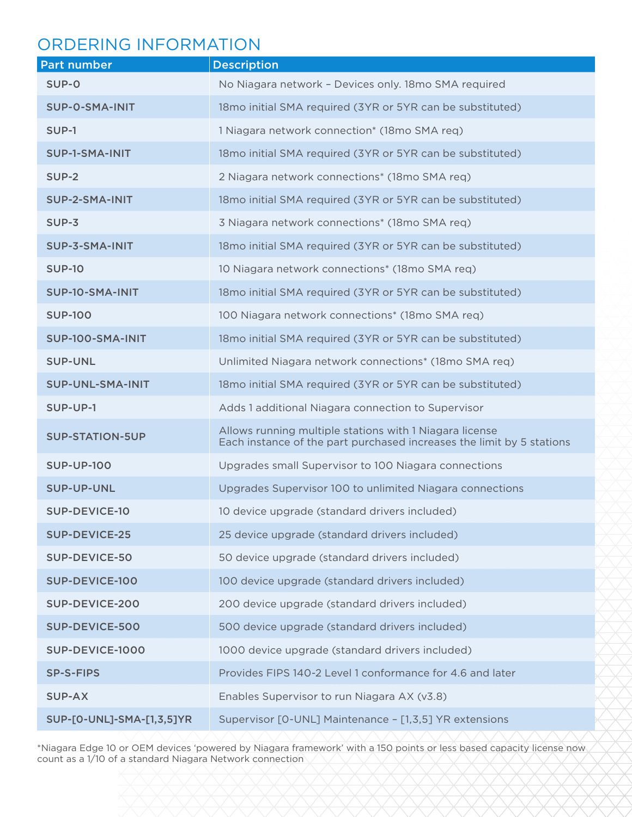#### ORDERING INFORMATION

| <b>Part number</b>        | <b>Description</b>                                                                                                               |
|---------------------------|----------------------------------------------------------------------------------------------------------------------------------|
| SUP-0                     | No Niagara network - Devices only. 18mo SMA required                                                                             |
| <b>SUP-O-SMA-INIT</b>     | 18mo initial SMA required (3YR or 5YR can be substituted)                                                                        |
| SUP-1                     | 1 Niagara network connection* (18mo SMA req)                                                                                     |
| <b>SUP-1-SMA-INIT</b>     | 18mo initial SMA required (3YR or 5YR can be substituted)                                                                        |
| SUP-2                     | 2 Niagara network connections* (18mo SMA req)                                                                                    |
| SUP-2-SMA-INIT            | 18mo initial SMA required (3YR or 5YR can be substituted)                                                                        |
| $SUP-3$                   | 3 Niagara network connections* (18mo SMA req)                                                                                    |
| SUP-3-SMA-INIT            | 18mo initial SMA required (3YR or 5YR can be substituted)                                                                        |
| <b>SUP-10</b>             | 10 Niagara network connections* (18mo SMA req)                                                                                   |
| SUP-10-SMA-INIT           | 18mo initial SMA required (3YR or 5YR can be substituted)                                                                        |
| <b>SUP-100</b>            | 100 Niagara network connections* (18mo SMA req)                                                                                  |
| SUP-100-SMA-INIT          | 18mo initial SMA required (3YR or 5YR can be substituted)                                                                        |
| <b>SUP-UNL</b>            | Unlimited Niagara network connections* (18mo SMA req)                                                                            |
| <b>SUP-UNL-SMA-INIT</b>   | 18mo initial SMA required (3YR or 5YR can be substituted)                                                                        |
| SUP-UP-1                  | Adds 1 additional Niagara connection to Supervisor                                                                               |
| <b>SUP-STATION-5UP</b>    | Allows running multiple stations with 1 Niagara license<br>Each instance of the part purchased increases the limit by 5 stations |
| <b>SUP-UP-100</b>         | Upgrades small Supervisor to 100 Niagara connections                                                                             |
| <b>SUP-UP-UNL</b>         | Upgrades Supervisor 100 to unlimited Niagara connections                                                                         |
| <b>SUP-DEVICE-10</b>      | 10 device upgrade (standard drivers included)                                                                                    |
| <b>SUP-DEVICE-25</b>      | 25 device upgrade (standard drivers included)                                                                                    |
| <b>SUP-DEVICE-50</b>      | 50 device upgrade (standard drivers included)                                                                                    |
| SUP-DEVICE-100            | 100 device upgrade (standard drivers included)                                                                                   |
| <b>SUP-DEVICE-200</b>     | 200 device upgrade (standard drivers included)                                                                                   |
| <b>SUP-DEVICE-500</b>     | 500 device upgrade (standard drivers included)                                                                                   |
| SUP-DEVICE-1000           | 1000 device upgrade (standard drivers included)                                                                                  |
| <b>SP-S-FIPS</b>          | Provides FIPS 140-2 Level 1 conformance for 4.6 and later                                                                        |
| <b>SUP-AX</b>             | Enables Supervisor to run Niagara AX (v3.8)                                                                                      |
| SUP-[0-UNL]-SMA-[1,3,5]YR | Supervisor [O-UNL] Maintenance - [1,3,5] YR extensions                                                                           |

\*Niagara Edge 10 or OEM devices 'powered by Niagara framework' with a 150 points or less based capacity license now count as a 1/10 of a standard Niagara Network connection